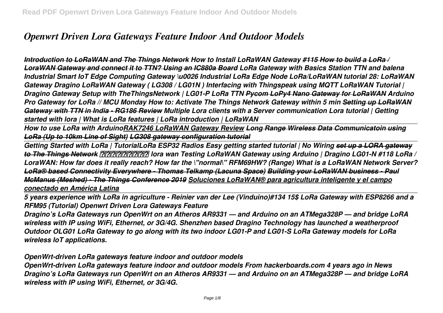# *Openwrt Driven Lora Gateways Feature Indoor And Outdoor Models*

*Introduction to LoRaWAN and The Things Network How to Install LoRaWAN Gateway #115 How to build a LoRa / LoraWAN Gateway and connect it to TTN? Using an IC880a Board LoRa Gateway with Basics Station TTN and balena Industrial Smart IoT Edge Computing Gateway \u0026 Industrial LoRa Edge Node LoRa/LoRaWAN tutorial 28: LoRaWAN Gateway Dragino LoRaWAN Gateway ( LG308 / LG01N ) Interfacing with Thingspeak using MQTT LoRaWAN Tutorial | Dragino Gateway Setup with TheThingsNetwork | LG01-P LoRa TTN Pycom LoPy4 Nano Gateway for LoRaWAN Arduino Pro Gateway for LoRa // MCU Monday How to: Activate The Things Network Gateway within 5 min Setting up LoRaWAN Gateway with TTN in India - RG186 Review Multiple Lora clients with a Server communication Lora tutorial | Getting started with lora | What is LoRa features | LoRa introduction | LoRaWAN* 

*How to use LoRa with ArduinoRAK7246 LoRaWAN Gateway Review Long Range Wireless Data Communicatoin using LoRa (Up to 10km Line of Sight) LG308 gateway configuration tutorial*

*Getting Started with LoRa | TutorialLoRa ESP32 Radios Easy getting started tutorial | No Wiring set up a LORA gateway to The Things Network การใช้งาน lora wan Testing LoRaWAN Gateway using Arduino | Dragino LG01-N #118 LoRa / LoraWAN: How far does it really reach? How far the \"normal\" RFM69HW? (Range) What is a LoRaWAN Network Server? LoRa® based Connectivity Everywhere - Thomas Telkamp (Lacuna Space) Building your LoRaWAN business - Paul McManus (Meshed) - The Things Conference 2019 Soluciones LoRaWAN® para agricultura inteligente y el campo conectado en América Latina*

*5 years experience with LoRa in agriculture - Reinier van der Lee (Vinduino)#134 15\$ LoRa Gateway with ESP8266 and a RFM95 (Tutorial) Openwrt Driven Lora Gateways Feature*

*Dragino's LoRa Gateways run OpenWrt on an Atheros AR9331 — and Arduino on an ATMega328P — and bridge LoRA wireless with IP using WiFi, Ethernet, or 3G/4G. Shenzhen based Dragino Technology has launched a weatherproof Outdoor OLG01 LoRa Gateway to go along with its two indoor LG01-P and LG01-S LoRa Gateway models for LoRa wireless IoT applications.*

*OpenWrt-driven LoRa gateways feature indoor and outdoor models*

*OpenWrt-driven LoRa gateways feature indoor and outdoor models From hackerboards.com 4 years ago in News Dragino's LoRa Gateways run OpenWrt on an Atheros AR9331 — and Arduino on an ATMega328P — and bridge LoRA wireless with IP using WiFi, Ethernet, or 3G/4G.*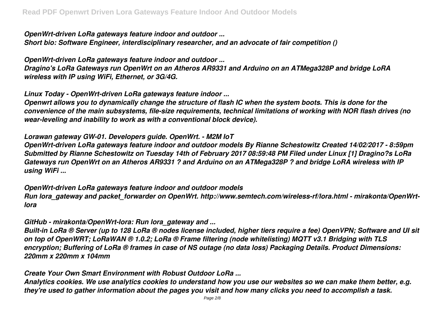*OpenWrt-driven LoRa gateways feature indoor and outdoor ... Short bio: Software Engineer, interdisciplinary researcher, and an advocate of fair competition ()*

*OpenWrt-driven LoRa gateways feature indoor and outdoor ... Dragino's LoRa Gateways run OpenWrt on an Atheros AR9331 and Arduino on an ATMega328P and bridge LoRA wireless with IP using WiFi, Ethernet, or 3G/4G.*

*Linux Today - OpenWrt-driven LoRa gateways feature indoor ...*

*Openwrt allows you to dynamically change the structure of flash IC when the system boots. This is done for the convenience of the main subsystems, file-size requirements, technical limitations of working with NOR flash drives (no wear-leveling and inability to work as with a conventional block device).*

*Lorawan gateway GW-01. Developers guide. OpenWrt. - M2M IoT*

*OpenWrt-driven LoRa gateways feature indoor and outdoor models By Rianne Schestowitz Created 14/02/2017 - 8:59pm Submitted by Rianne Schestowitz on Tuesday 14th of February 2017 08:59:48 PM Filed under Linux [1] Dragino?s LoRa Gateways run OpenWrt on an Atheros AR9331 ? and Arduino on an ATMega328P ? and bridge LoRA wireless with IP using WiFi ...*

*OpenWrt-driven LoRa gateways feature indoor and outdoor models Run lora\_gateway and packet\_forwarder on OpenWrt. http://www.semtech.com/wireless-rf/lora.html - mirakonta/OpenWrtlora*

*GitHub - mirakonta/OpenWrt-lora: Run lora\_gateway and ...*

*Built-in LoRa ® Server (up to 128 LoRa ® nodes license included, higher tiers require a fee) OpenVPN; Software and UI sit on top of OpenWRT; LoRaWAN ® 1.0.2; LoRa ® Frame filtering (node whitelisting) MQTT v3.1 Bridging with TLS encryption; Buffering of LoRa ® frames in case of NS outage (no data loss) Packaging Details. Product Dimensions: 220mm x 220mm x 104mm*

*Create Your Own Smart Environment with Robust Outdoor LoRa ...*

*Analytics cookies. We use analytics cookies to understand how you use our websites so we can make them better, e.g. they're used to gather information about the pages you visit and how many clicks you need to accomplish a task.*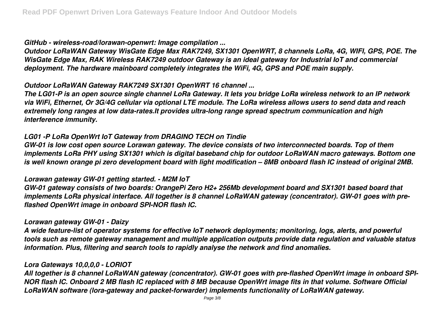*GitHub - wireless-road/lorawan-openwrt: Image compilation ...*

*Outdoor LoRaWAN Gateway WisGate Edge Max RAK7249, SX1301 OpenWRT, 8 channels LoRa, 4G, WIFI, GPS, POE. The WisGate Edge Max, RAK Wireless RAK7249 outdoor Gateway is an ideal gateway for Industrial IoT and commercial deployment. The hardware mainboard completely integrates the WiFi, 4G, GPS and POE main supply.*

*Outdoor LoRaWAN Gateway RAK7249 SX1301 OpenWRT 16 channel ...*

*The LG01-P is an open source single channel LoRa Gateway. It lets you bridge LoRa wireless network to an IP network via WiFi, Ethernet, Or 3G/4G cellular via optional LTE module. The LoRa wireless allows users to send data and reach extremely long ranges at low data-rates.It provides ultra-long range spread spectrum communication and high interference immunity.*

# *LG01 -P LoRa OpenWrt IoT Gateway from DRAGINO TECH on Tindie*

*GW-01 is low cost open source Lorawan gateway. The device consists of two interconnected boards. Top of them implements LoRa PHY using SX1301 which is digital baseband chip for outdoor LoRaWAN macro gateways. Bottom one is well known orange pi zero development board with light modification – 8MB onboard flash IC instead of original 2MB.*

## *Lorawan gateway GW-01 getting started. - M2M IoT*

*GW-01 gateway consists of two boards: OrangePi Zero H2+ 256Mb development board and SX1301 based board that implements LoRa physical interface. All together is 8 channel LoRaWAN gateway (concentrator). GW-01 goes with preflashed OpenWrt image in onboard SPI-NOR flash IC.*

## *Lorawan gateway GW-01 - Daizy*

*A wide feature-list of operator systems for effective IoT network deployments; monitoring, logs, alerts, and powerful tools such as remote gateway management and multiple application outputs provide data regulation and valuable status information. Plus, filtering and search tools to rapidly analyse the network and find anomalies.*

# *Lora Gateways 10,0,0,0 - LORIOT*

*All together is 8 channel LoRaWAN gateway (concentrator). GW-01 goes with pre-flashed OpenWrt image in onboard SPI-NOR flash IC. Onboard 2 MB flash IC replaced with 8 MB because OpenWrt image fits in that volume. Software Official LoRaWAN software (lora-gateway and packet-forwarder) implements functionality of LoRaWAN gateway.*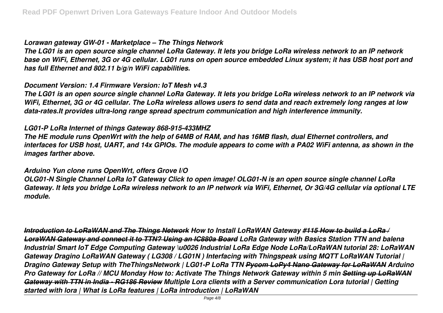#### *Lorawan gateway GW-01 - Marketplace – The Things Network*

*The LG01 is an open source single channel LoRa Gateway. It lets you bridge LoRa wireless network to an IP network base on WiFi, Ethernet, 3G or 4G cellular. LG01 runs on open source embedded Linux system; it has USB host port and has full Ethernet and 802.11 b/g/n WiFi capabilities.*

#### *Document Version: 1.4 Firmware Version: IoT Mesh v4.3*

*The LG01 is an open source single channel LoRa Gateway. It lets you bridge LoRa wireless network to an IP network via WiFi, Ethernet, 3G or 4G cellular. The LoRa wireless allows users to send data and reach extremely long ranges at low data-rates.It provides ultra-long range spread spectrum communication and high interference immunity.*

# *LG01-P LoRa Internet of things Gateway 868-915-433MHZ*

*The HE module runs OpenWrt with the help of 64MB of RAM, and has 16MB flash, dual Ethernet controllers, and interfaces for USB host, UART, and 14x GPIOs. The module appears to come with a PA02 WiFi antenna, as shown in the images farther above.*

## *Arduino Yun clone runs OpenWrt, offers Grove I/O*

*OLG01-N Single Channel LoRa IoT Gateway Click to open image! OLG01-N is an open source single channel LoRa Gateway. It lets you bridge LoRa wireless network to an IP network via WiFi, Ethernet, Or 3G/4G cellular via optional LTE module.*

*Introduction to LoRaWAN and The Things Network How to Install LoRaWAN Gateway #115 How to build a LoRa / LoraWAN Gateway and connect it to TTN? Using an IC880a Board LoRa Gateway with Basics Station TTN and balena Industrial Smart IoT Edge Computing Gateway \u0026 Industrial LoRa Edge Node LoRa/LoRaWAN tutorial 28: LoRaWAN Gateway Dragino LoRaWAN Gateway ( LG308 / LG01N ) Interfacing with Thingspeak using MQTT LoRaWAN Tutorial | Dragino Gateway Setup with TheThingsNetwork | LG01-P LoRa TTN Pycom LoPy4 Nano Gateway for LoRaWAN Arduino Pro Gateway for LoRa // MCU Monday How to: Activate The Things Network Gateway within 5 min Setting up LoRaWAN Gateway with TTN in India - RG186 Review Multiple Lora clients with a Server communication Lora tutorial | Getting started with lora | What is LoRa features | LoRa introduction | LoRaWAN*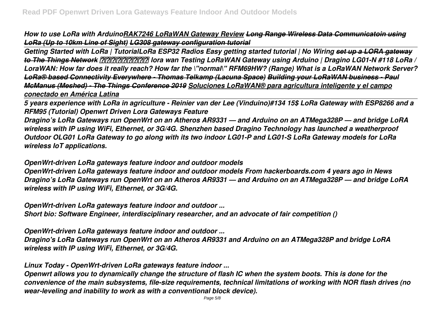*How to use LoRa with ArduinoRAK7246 LoRaWAN Gateway Review Long Range Wireless Data Communicatoin using LoRa (Up to 10km Line of Sight) LG308 gateway configuration tutorial*

*Getting Started with LoRa | TutorialLoRa ESP32 Radios Easy getting started tutorial | No Wiring set up a LORA gateway to The Things Network การใช้งาน lora wan Testing LoRaWAN Gateway using Arduino | Dragino LG01-N #118 LoRa / LoraWAN: How far does it really reach? How far the \"normal\" RFM69HW? (Range) What is a LoRaWAN Network Server? LoRa® based Connectivity Everywhere - Thomas Telkamp (Lacuna Space) Building your LoRaWAN business - Paul McManus (Meshed) - The Things Conference 2019 Soluciones LoRaWAN® para agricultura inteligente y el campo conectado en América Latina*

*5 years experience with LoRa in agriculture - Reinier van der Lee (Vinduino)#134 15\$ LoRa Gateway with ESP8266 and a RFM95 (Tutorial) Openwrt Driven Lora Gateways Feature*

*Dragino's LoRa Gateways run OpenWrt on an Atheros AR9331 — and Arduino on an ATMega328P — and bridge LoRA wireless with IP using WiFi, Ethernet, or 3G/4G. Shenzhen based Dragino Technology has launched a weatherproof Outdoor OLG01 LoRa Gateway to go along with its two indoor LG01-P and LG01-S LoRa Gateway models for LoRa wireless IoT applications.*

*OpenWrt-driven LoRa gateways feature indoor and outdoor models*

*OpenWrt-driven LoRa gateways feature indoor and outdoor models From hackerboards.com 4 years ago in News Dragino's LoRa Gateways run OpenWrt on an Atheros AR9331 — and Arduino on an ATMega328P — and bridge LoRA wireless with IP using WiFi, Ethernet, or 3G/4G.*

*OpenWrt-driven LoRa gateways feature indoor and outdoor ... Short bio: Software Engineer, interdisciplinary researcher, and an advocate of fair competition ()*

*OpenWrt-driven LoRa gateways feature indoor and outdoor ...*

*Dragino's LoRa Gateways run OpenWrt on an Atheros AR9331 and Arduino on an ATMega328P and bridge LoRA wireless with IP using WiFi, Ethernet, or 3G/4G.*

*Linux Today - OpenWrt-driven LoRa gateways feature indoor ...*

*Openwrt allows you to dynamically change the structure of flash IC when the system boots. This is done for the convenience of the main subsystems, file-size requirements, technical limitations of working with NOR flash drives (no wear-leveling and inability to work as with a conventional block device).*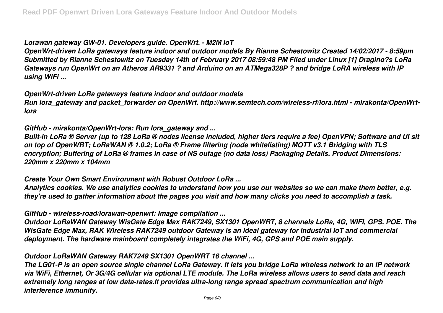## *Lorawan gateway GW-01. Developers guide. OpenWrt. - M2M IoT*

*OpenWrt-driven LoRa gateways feature indoor and outdoor models By Rianne Schestowitz Created 14/02/2017 - 8:59pm Submitted by Rianne Schestowitz on Tuesday 14th of February 2017 08:59:48 PM Filed under Linux [1] Dragino?s LoRa Gateways run OpenWrt on an Atheros AR9331 ? and Arduino on an ATMega328P ? and bridge LoRA wireless with IP using WiFi ...*

#### *OpenWrt-driven LoRa gateways feature indoor and outdoor models*

*Run lora\_gateway and packet\_forwarder on OpenWrt. http://www.semtech.com/wireless-rf/lora.html - mirakonta/OpenWrtlora*

## *GitHub - mirakonta/OpenWrt-lora: Run lora\_gateway and ...*

*Built-in LoRa ® Server (up to 128 LoRa ® nodes license included, higher tiers require a fee) OpenVPN; Software and UI sit on top of OpenWRT; LoRaWAN ® 1.0.2; LoRa ® Frame filtering (node whitelisting) MQTT v3.1 Bridging with TLS encryption; Buffering of LoRa ® frames in case of NS outage (no data loss) Packaging Details. Product Dimensions: 220mm x 220mm x 104mm*

# *Create Your Own Smart Environment with Robust Outdoor LoRa ...*

*Analytics cookies. We use analytics cookies to understand how you use our websites so we can make them better, e.g. they're used to gather information about the pages you visit and how many clicks you need to accomplish a task.*

## *GitHub - wireless-road/lorawan-openwrt: Image compilation ...*

*Outdoor LoRaWAN Gateway WisGate Edge Max RAK7249, SX1301 OpenWRT, 8 channels LoRa, 4G, WIFI, GPS, POE. The WisGate Edge Max, RAK Wireless RAK7249 outdoor Gateway is an ideal gateway for Industrial IoT and commercial deployment. The hardware mainboard completely integrates the WiFi, 4G, GPS and POE main supply.*

# *Outdoor LoRaWAN Gateway RAK7249 SX1301 OpenWRT 16 channel ...*

*The LG01-P is an open source single channel LoRa Gateway. It lets you bridge LoRa wireless network to an IP network via WiFi, Ethernet, Or 3G/4G cellular via optional LTE module. The LoRa wireless allows users to send data and reach extremely long ranges at low data-rates.It provides ultra-long range spread spectrum communication and high interference immunity.*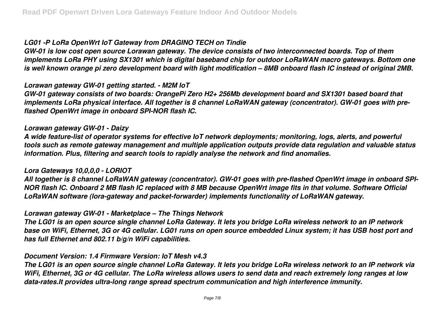# *LG01 -P LoRa OpenWrt IoT Gateway from DRAGINO TECH on Tindie*

*GW-01 is low cost open source Lorawan gateway. The device consists of two interconnected boards. Top of them implements LoRa PHY using SX1301 which is digital baseband chip for outdoor LoRaWAN macro gateways. Bottom one is well known orange pi zero development board with light modification – 8MB onboard flash IC instead of original 2MB.*

#### *Lorawan gateway GW-01 getting started. - M2M IoT*

*GW-01 gateway consists of two boards: OrangePi Zero H2+ 256Mb development board and SX1301 based board that implements LoRa physical interface. All together is 8 channel LoRaWAN gateway (concentrator). GW-01 goes with preflashed OpenWrt image in onboard SPI-NOR flash IC.*

## *Lorawan gateway GW-01 - Daizy*

*A wide feature-list of operator systems for effective IoT network deployments; monitoring, logs, alerts, and powerful tools such as remote gateway management and multiple application outputs provide data regulation and valuable status information. Plus, filtering and search tools to rapidly analyse the network and find anomalies.*

## *Lora Gateways 10,0,0,0 - LORIOT*

*All together is 8 channel LoRaWAN gateway (concentrator). GW-01 goes with pre-flashed OpenWrt image in onboard SPI-NOR flash IC. Onboard 2 MB flash IC replaced with 8 MB because OpenWrt image fits in that volume. Software Official LoRaWAN software (lora-gateway and packet-forwarder) implements functionality of LoRaWAN gateway.*

## *Lorawan gateway GW-01 - Marketplace – The Things Network*

*The LG01 is an open source single channel LoRa Gateway. It lets you bridge LoRa wireless network to an IP network base on WiFi, Ethernet, 3G or 4G cellular. LG01 runs on open source embedded Linux system; it has USB host port and has full Ethernet and 802.11 b/g/n WiFi capabilities.*

## *Document Version: 1.4 Firmware Version: IoT Mesh v4.3*

*The LG01 is an open source single channel LoRa Gateway. It lets you bridge LoRa wireless network to an IP network via WiFi, Ethernet, 3G or 4G cellular. The LoRa wireless allows users to send data and reach extremely long ranges at low data-rates.It provides ultra-long range spread spectrum communication and high interference immunity.*